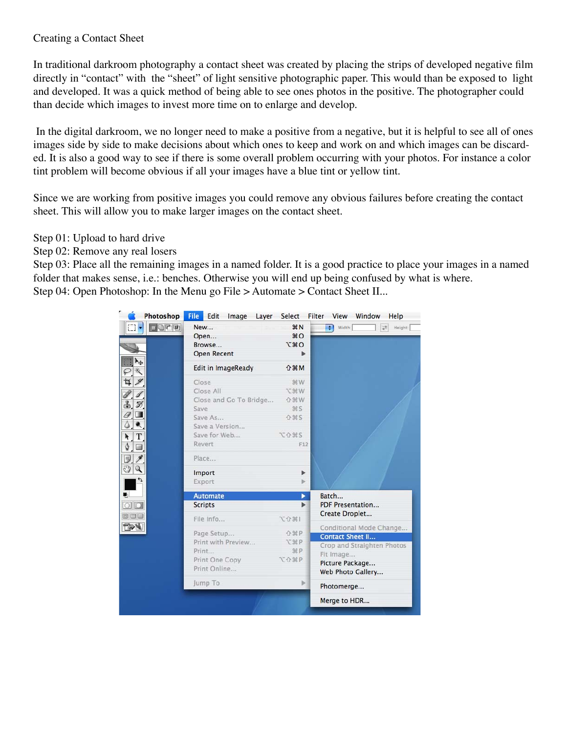## Creating a Contact Sheet

In traditional darkroom photography a contact sheet was created by placing the strips of developed negative film directly in "contact" with the "sheet" of light sensitive photographic paper. This would than be exposed to light and developed. It was a quick method of being able to see ones photos in the positive. The photographer could than decide which images to invest more time on to enlarge and develop.

 In the digital darkroom, we no longer need to make a positive from a negative, but it is helpful to see all of ones images side by side to make decisions about which ones to keep and work on and which images can be discarded. It is also a good way to see if there is some overall problem occurring with your photos. For instance a color tint problem will become obvious if all your images have a blue tint or yellow tint.

Since we are working from positive images you could remove any obvious failures before creating the contact sheet. This will allow you to make larger images on the contact sheet.

Step 01: Upload to hard drive

Step 02: Remove any real losers

Step 03: Place all the remaining images in a named folder. It is a good practice to place your images in a named folder that makes sense, i.e.: benches. Otherwise you will end up being confused by what is where. Step 04: Open Photoshop: In the Menu go File > Automate > Contact Sheet II...

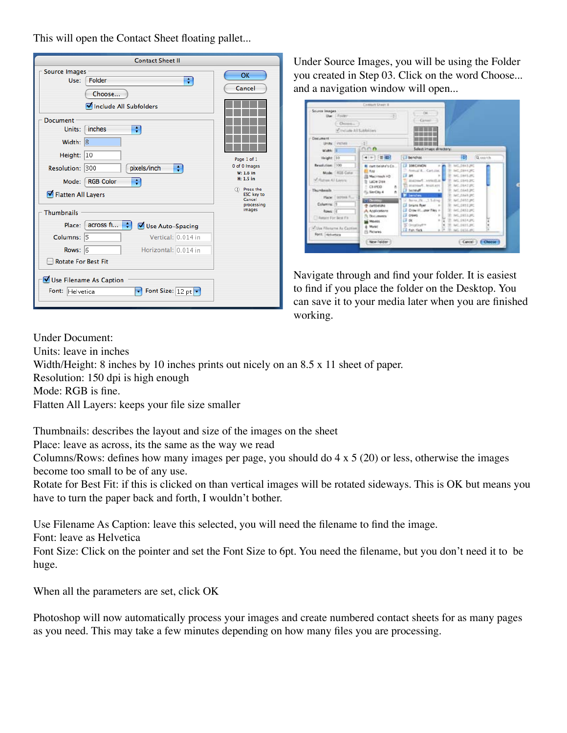This will open the Contact Sheet floating pallet...

| <b>Source Images</b><br>Folder<br>÷<br>Use:<br>Choose<br>Include All Subfolders                                                                                                                                                                    | OK<br>Cancel                                                                                                                   |
|----------------------------------------------------------------------------------------------------------------------------------------------------------------------------------------------------------------------------------------------------|--------------------------------------------------------------------------------------------------------------------------------|
| <b>Document</b><br>inches<br>÷<br>Units:<br>Width: 8<br>Height:<br>10<br>Resolution: 300<br>pixels/inch<br>÷<br>Mode: RGB Color<br>÷<br>Flatten All Layers<br><b>Thumbnails</b>                                                                    | Page 1 of 1<br>0 of 0 Images<br>W: 1.6 in<br>H: 1.5 in<br>(1) Press the<br><b>ESC</b> key to<br>Cancel<br>processing<br>images |
| $\arccos f$ <sub>1</sub> $\uparrow$<br>Place:<br>Use Auto-Spacing<br>Vertical: 0.014 in<br>Columns: 5<br>Horizontal: 0.014 in<br>Rows: 6<br><b>Rotate For Best Fit</b><br>Use Filename As Caption<br>Font Size: 12 pt v<br>Font:<br>v<br>Helvetica |                                                                                                                                |

Under Source Images, you will be using the Folder you created in Step 03. Click on the word Choose... and a navigation window will open...

|                                                                                                                                                           | <b>Contact Shaer II</b>                                                                                                                                                                                                  |                                                                                                                                                                                                                                                         |                                                                                                                                                                                                                         |                 |
|-----------------------------------------------------------------------------------------------------------------------------------------------------------|--------------------------------------------------------------------------------------------------------------------------------------------------------------------------------------------------------------------------|---------------------------------------------------------------------------------------------------------------------------------------------------------------------------------------------------------------------------------------------------------|-------------------------------------------------------------------------------------------------------------------------------------------------------------------------------------------------------------------------|-----------------|
| Source Images<br>Due: Efforter<br>Chinese.<br>Winclude All Subfolders                                                                                     | 93                                                                                                                                                                                                                       | $-108 -$<br>Canter?                                                                                                                                                                                                                                     |                                                                                                                                                                                                                         |                 |
| Document<br>Units: Einstein<br>Width III                                                                                                                  | зì<br>0.06                                                                                                                                                                                                               | Select image directory)                                                                                                                                                                                                                                 |                                                                                                                                                                                                                         |                 |
| Height: 10                                                                                                                                                | $+$ + $=$ $-$                                                                                                                                                                                                            | L'I benchas                                                                                                                                                                                                                                             | m                                                                                                                                                                                                                       | Q exerch        |
| Resolution: 100<br>Mode. RGB Color<br>of Hatter Al Lavine<br>Thursheats<br>Place: Introd R., 12<br>Columns: 15<br>Rows: 6<br><b>I Notain For Best Fit</b> | <b>K</b> curt helshe's Co.<br><b>Bill Rate</b><br>Masinteeds HO<br><b>B</b> LaCle Dale<br>CEIROD<br>$\pm$<br>×<br>Fix Six City 4<br><b>CONSTRUCT</b><br><b>INDIBIDAL</b><br>A Acolications<br><b>Got meets</b><br>Worlds | <b>E2 100CANON</b><br>27. Annual R., Cartuine<br>ш<br>201<br>Ti starred verted at<br>FOLDER, Puertain IV<br><b>El berstuff</b><br>٠<br><b>Characters</b> (1997)<br>- Barra, 19. 1.5-8 (e) 1<br>Crow III. Joan Fles +<br>crows in<br>α<br>a de<br>$-14.$ | 340,0643,000<br>INC.DEVLIPE<br>MC DAILIRE<br>MG, DEREJPE<br>×<br>AVOID642 USC<br>AIC GEALER<br>W. NC.084135<br>TP: NIC 0455 JPC<br>THE WIS CITES \$1,000<br>AIC DESSURE<br>THE AVE  (195.3.2PC)<br><b>B. MG SISKURG</b> |                 |
| Villa Fileturni AL Califon<br>Fort. Helvetica                                                                                                             | 4 Munic<br><b>FS Patterns</b>                                                                                                                                                                                            | S. Ornativity<br>Life from Stark<br>$\sim$                                                                                                                                                                                                              | 35. AACLON/LING<br>×<br>TR. NEL SIGLUPE                                                                                                                                                                                 | $\frac{1}{2}$   |
|                                                                                                                                                           | New Folder                                                                                                                                                                                                               |                                                                                                                                                                                                                                                         |                                                                                                                                                                                                                         | Cancel   Choose |

Navigate through and find your folder. It is easiest to find if you place the folder on the Desktop. You can save it to your media later when you are finished working.

Under Document: Units: leave in inches Width/Height: 8 inches by 10 inches prints out nicely on an 8.5 x 11 sheet of paper. Resolution: 150 dpi is high enough Mode: RGB is fine. Flatten All Layers: keeps your file size smaller

Thumbnails: describes the layout and size of the images on the sheet

Place: leave as across, its the same as the way we read

Columns/Rows: defines how many images per page, you should do 4 x 5 (20) or less, otherwise the images become too small to be of any use.

Rotate for Best Fit: if this is clicked on than vertical images will be rotated sideways. This is OK but means you have to turn the paper back and forth, I wouldn't bother.

Use Filename As Caption: leave this selected, you will need the filename to find the image.

Font: leave as Helvetica

Font Size: Click on the pointer and set the Font Size to 6pt. You need the filename, but you don't need it to be huge.

When all the parameters are set, click OK

Photoshop will now automatically process your images and create numbered contact sheets for as many pages as you need. This may take a few minutes depending on how many files you are processing.